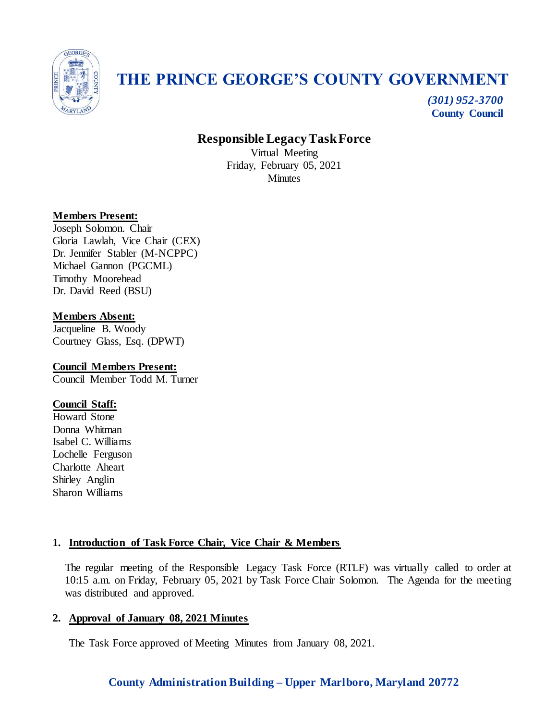

# **THE PRINCE GEORGE'S COUNTY GOVERNMENT**

*(301) 952-3700* **County Council**

# **Responsible Legacy Task Force**

Virtual Meeting Friday, February 05, 2021 **Minutes** 

## **Members Present:**

Joseph Solomon. Chair Gloria Lawlah, Vice Chair (CEX) Dr. Jennifer Stabler (M-NCPPC) Michael Gannon (PGCML) Timothy Moorehead Dr. David Reed (BSU)

## **Members Absent:**

Jacqueline B. Woody Courtney Glass, Esq. (DPWT)

#### **Council Members Present:** Council Member Todd M. Turner

## **Council Staff:**

Howard Stone Donna Whitman Isabel C. Williams Lochelle Ferguson Charlotte Aheart Shirley Anglin Sharon Williams

## **1. Introduction of Task Force Chair, Vice Chair & Members**

The regular meeting of the Responsible Legacy Task Force (RTLF) was virtually called to order at 10:15 a.m. on Friday, February 05, 2021 by Task Force Chair Solomon. The Agenda for the meeting was distributed and approved.

## **2. Approval of January 08, 2021 Minutes**

The Task Force approved of Meeting Minutes from January 08, 2021.

## **County Administration Building – Upper Marlboro, Maryland 20772**